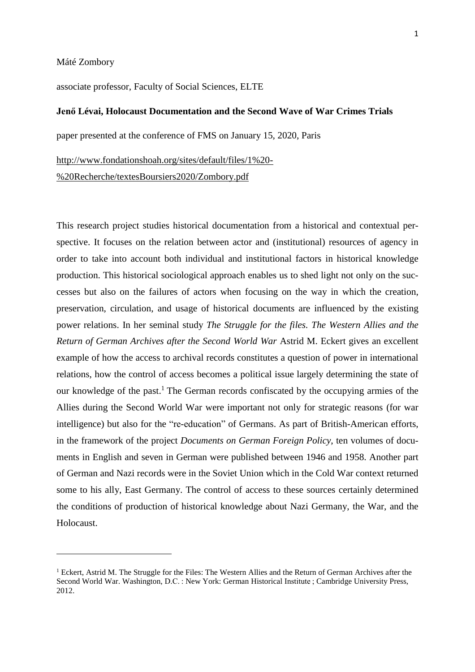Máté Zombory

 $\ddot{\phantom{a}}$ 

associate professor, Faculty of Social Sciences, ELTE

# **Jenő Lévai, Holocaust Documentation and the Second Wave of War Crimes Trials**

paper presented at the conference of FMS on January 15, 2020, Paris

[http://www.fondationshoah.org/sites/default/files/1%20-](http://www.fondationshoah.org/sites/default/files/1%20-%20Recherche/textesBoursiers2020/Zombory.pdf)

[%20Recherche/textesBoursiers2020/Zombory.pdf](http://www.fondationshoah.org/sites/default/files/1%20-%20Recherche/textesBoursiers2020/Zombory.pdf)

This research project studies historical documentation from a historical and contextual perspective. It focuses on the relation between actor and (institutional) resources of agency in order to take into account both individual and institutional factors in historical knowledge production. This historical sociological approach enables us to shed light not only on the successes but also on the failures of actors when focusing on the way in which the creation, preservation, circulation, and usage of historical documents are influenced by the existing power relations. In her seminal study *The Struggle for the files. The Western Allies and the Return of German Archives after the Second World War* Astrid M. Eckert gives an excellent example of how the access to archival records constitutes a question of power in international relations, how the control of access becomes a political issue largely determining the state of our knowledge of the past. <sup>1</sup> The German records confiscated by the occupying armies of the Allies during the Second World War were important not only for strategic reasons (for war intelligence) but also for the "re-education" of Germans. As part of British-American efforts, in the framework of the project *Documents on German Foreign Policy*, ten volumes of documents in English and seven in German were published between 1946 and 1958. Another part of German and Nazi records were in the Soviet Union which in the Cold War context returned some to his ally, East Germany. The control of access to these sources certainly determined the conditions of production of historical knowledge about Nazi Germany, the War, and the Holocaust.

<sup>&</sup>lt;sup>1</sup> Eckert, Astrid M. The Struggle for the Files: The Western Allies and the Return of German Archives after the Second World War. Washington, D.C. : New York: German Historical Institute ; Cambridge University Press, 2012.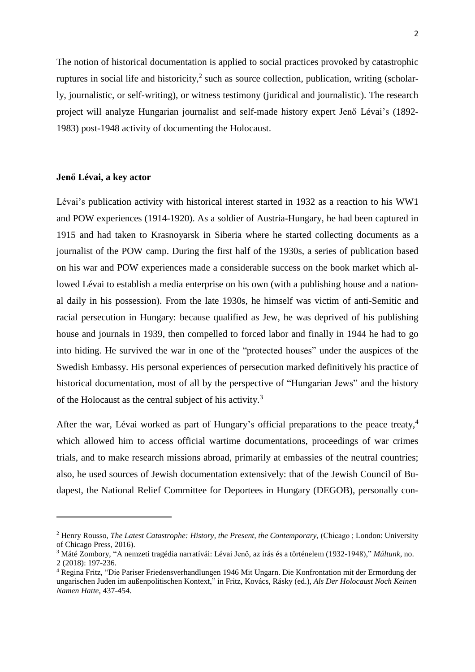The notion of historical documentation is applied to social practices provoked by catastrophic ruptures in social life and historicity,<sup>2</sup> such as source collection, publication, writing (scholarly, journalistic, or self-writing), or witness testimony (juridical and journalistic). The research project will analyze Hungarian journalist and self-made history expert Jenő Lévai's (1892- 1983) post-1948 activity of documenting the Holocaust.

#### **Jenő Lévai, a key actor**

 $\ddot{\phantom{a}}$ 

Lévai's publication activity with historical interest started in 1932 as a reaction to his WW1 and POW experiences (1914-1920). As a soldier of Austria-Hungary, he had been captured in 1915 and had taken to Krasnoyarsk in Siberia where he started collecting documents as a journalist of the POW camp. During the first half of the 1930s, a series of publication based on his war and POW experiences made a considerable success on the book market which allowed Lévai to establish a media enterprise on his own (with a publishing house and a national daily in his possession). From the late 1930s, he himself was victim of anti-Semitic and racial persecution in Hungary: because qualified as Jew, he was deprived of his publishing house and journals in 1939, then compelled to forced labor and finally in 1944 he had to go into hiding. He survived the war in one of the "protected houses" under the auspices of the Swedish Embassy. His personal experiences of persecution marked definitively his practice of historical documentation, most of all by the perspective of "Hungarian Jews" and the history of the Holocaust as the central subject of his activity.<sup>3</sup>

After the war, Lévai worked as part of Hungary's official preparations to the peace treaty,<sup>4</sup> which allowed him to access official wartime documentations, proceedings of war crimes trials, and to make research missions abroad, primarily at embassies of the neutral countries; also, he used sources of Jewish documentation extensively: that of the Jewish Council of Budapest, the National Relief Committee for Deportees in Hungary (DEGOB), personally con-

<sup>2</sup> Henry Rousso, *The Latest Catastrophe: History, the Present, the Contemporary*, (Chicago ; London: University of Chicago Press, 2016).

<sup>3</sup> Máté Zombory, "A nemzeti tragédia narratívái: Lévai Jenő, az írás és a történelem (1932-1948)," *Múltunk*, no. 2 (2018): 197-236.

<sup>4</sup> Regina Fritz, "Die Pariser Friedensverhandlungen 1946 Mit Ungarn. Die Konfrontation mit der Ermordung der ungarischen Juden im außenpolitischen Kontext," in Fritz, Kovács, Rásky (ed.), *Als Der Holocaust Noch Keinen Namen Hatte,* 437-454.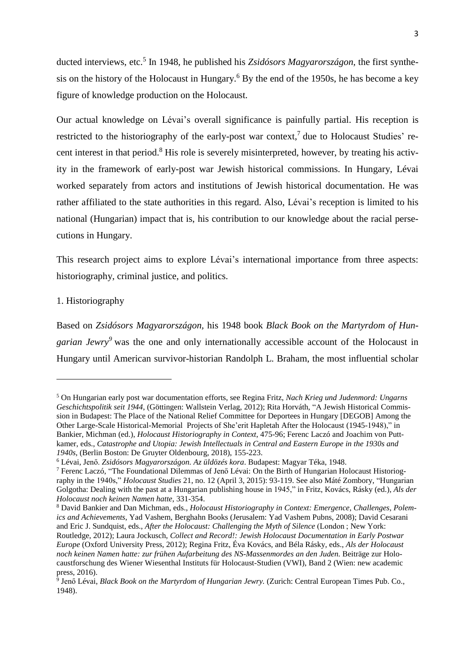ducted interviews, etc.<sup>5</sup> In 1948, he published his *Zsidósors Magyarországon,* the first synthesis on the history of the Holocaust in Hungary. <sup>6</sup> By the end of the 1950s, he has become a key figure of knowledge production on the Holocaust.

Our actual knowledge on Lévai's overall significance is painfully partial. His reception is restricted to the historiography of the early-post war context,<sup>7</sup> due to Holocaust Studies' recent interest in that period.<sup>8</sup> His role is severely misinterpreted, however, by treating his activity in the framework of early-post war Jewish historical commissions. In Hungary, Lévai worked separately from actors and institutions of Jewish historical documentation. He was rather affiliated to the state authorities in this regard. Also, Lévai's reception is limited to his national (Hungarian) impact that is, his contribution to our knowledge about the racial persecutions in Hungary.

This research project aims to explore Lévai's international importance from three aspects: historiography, criminal justice, and politics.

# 1. Historiography

1

Based on *Zsidósors Magyarországon,* his 1948 book *Black Book on the Martyrdom of Hungarian Jewry<sup>9</sup>* was the one and only internationally accessible account of the Holocaust in Hungary until American survivor-historian Randolph L. Braham, the most influential scholar

<sup>5</sup> On Hungarian early post war documentation efforts, see Regina Fritz, *Nach Krieg und Judenmord: Ungarns Geschichtspolitik seit 1944*, (Göttingen: Wallstein Verlag, 2012); Rita Horváth, "A Jewish Historical Commission in Budapest: The Place of the National Relief Committee for Deportees in Hungary [DEGOB] Among the Other Large-Scale Historical-Memorial Projects of She'erit Hapletah After the Holocaust (1945-1948)," in Bankier, Michman (ed.), *Holocaust Historiography in Context*, 475-96; Ferenc Laczó and Joachim von Puttkamer, eds., *Catastrophe and Utopia: Jewish Intellectuals in Central and Eastern Europe in the 1930s and 1940s*, (Berlin Boston: De Gruyter Oldenbourg, 2018), 155-223.

<sup>6</sup> Lévai, Jenő. *Zsidósors Magyarországon. Az üldözés kora*. Budapest: Magyar Téka, 1948.

<sup>7</sup> Ferenc Laczó, "The Foundational Dilemmas of Jenő Lévai: On the Birth of Hungarian Holocaust Historiography in the 1940s," *Holocaust Studies* 21, no. 12 (April 3, 2015): 93-119. See also Máté Zombory, "Hungarian Golgotha: Dealing with the past at a Hungarian publishing house in 1945," in Fritz, Kovács, Rásky (ed.), *Als der Holocaust noch keinen Namen hatte*, 331-354.

<sup>8</sup> David Bankier and Dan Michman, eds., *Holocaust Historiography in Context: Emergence, Challenges, Polemics and Achievements*, Yad Vashem, Berghahn Books (Jerusalem: Yad Vashem Pubns, 2008); David Cesarani and Eric J. Sundquist, eds., *After the Holocaust: Challenging the Myth of Silence* (London ; New York: Routledge, 2012); Laura Jockusch, *Collect and Record!: Jewish Holocaust Documentation in Early Postwar Europe* (Oxford University Press, 2012); Regina Fritz, Éva Kovács, and Béla Rásky, eds., *Als der Holocaust noch keinen Namen hatte: zur frühen Aufarbeitung des NS-Massenmordes an den Juden.* Beiträge zur Holocaustforschung des Wiener Wiesenthal Instituts für Holocaust-Studien (VWI), Band 2 (Wien: new academic press, 2016).

<sup>9</sup> Jenő Lévai, *Black Book on the Martyrdom of Hungarian Jewry.* (Zurich: Central European Times Pub. Co., 1948).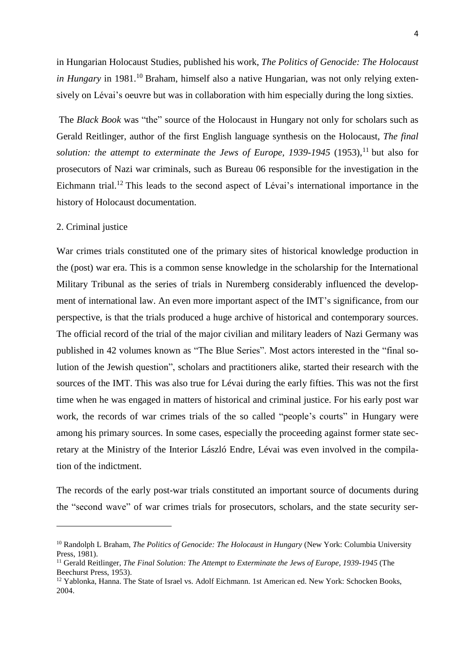in Hungarian Holocaust Studies, published his work, *The Politics of Genocide: The Holocaust* in *Hungary* in 1981.<sup>10</sup> Braham, himself also a native Hungarian, was not only relying extensively on Lévai's oeuvre but was in collaboration with him especially during the long sixties.

The *Black Book* was "the" source of the Holocaust in Hungary not only for scholars such as Gerald Reitlinger, author of the first English language synthesis on the Holocaust, *The final solution: the attempt to exterminate the Jews of Europe, 1939-1945* (1953),<sup>11</sup> but also for prosecutors of Nazi war criminals, such as Bureau 06 responsible for the investigation in the Eichmann trial.<sup>12</sup> This leads to the second aspect of Lévai's international importance in the history of Holocaust documentation.

## 2. Criminal justice

 $\ddot{\phantom{a}}$ 

War crimes trials constituted one of the primary sites of historical knowledge production in the (post) war era. This is a common sense knowledge in the scholarship for the International Military Tribunal as the series of trials in Nuremberg considerably influenced the development of international law. An even more important aspect of the IMT's significance, from our perspective, is that the trials produced a huge archive of historical and contemporary sources. The official record of the trial of the major civilian and military leaders of Nazi Germany was published in 42 volumes known as "The Blue Series". Most actors interested in the "final solution of the Jewish question", scholars and practitioners alike, started their research with the sources of the IMT. This was also true for Lévai during the early fifties. This was not the first time when he was engaged in matters of historical and criminal justice. For his early post war work, the records of war crimes trials of the so called "people's courts" in Hungary were among his primary sources. In some cases, especially the proceeding against former state secretary at the Ministry of the Interior László Endre, Lévai was even involved in the compilation of the indictment.

The records of the early post-war trials constituted an important source of documents during the "second wave" of war crimes trials for prosecutors, scholars, and the state security ser-

<sup>10</sup> Randolph L Braham, *The Politics of Genocide: The Holocaust in Hungary* (New York: Columbia University Press, 1981).

<sup>11</sup> Gerald Reitlinger, *The Final Solution: The Attempt to Exterminate the Jews of Europe, 1939-1945* (The Beechurst Press, 1953).

<sup>&</sup>lt;sup>12</sup> Yablonka, Hanna. The State of Israel vs. Adolf Eichmann. 1st American ed. New York: Schocken Books, 2004.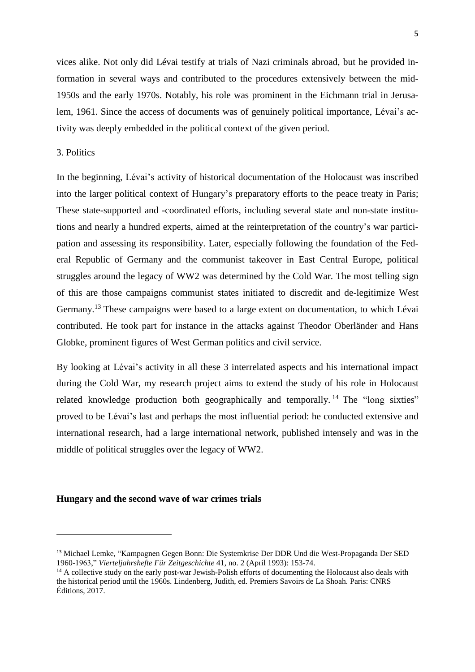vices alike. Not only did Lévai testify at trials of Nazi criminals abroad, but he provided information in several ways and contributed to the procedures extensively between the mid-1950s and the early 1970s. Notably, his role was prominent in the Eichmann trial in Jerusalem, 1961. Since the access of documents was of genuinely political importance, Lévai's activity was deeply embedded in the political context of the given period.

# 3. Politics

 $\overline{a}$ 

In the beginning, Lévai's activity of historical documentation of the Holocaust was inscribed into the larger political context of Hungary's preparatory efforts to the peace treaty in Paris; These state-supported and -coordinated efforts, including several state and non-state institutions and nearly a hundred experts, aimed at the reinterpretation of the country's war participation and assessing its responsibility. Later, especially following the foundation of the Federal Republic of Germany and the communist takeover in East Central Europe, political struggles around the legacy of WW2 was determined by the Cold War. The most telling sign of this are those campaigns communist states initiated to discredit and de-legitimize West Germany.<sup>13</sup> These campaigns were based to a large extent on documentation, to which Lévai contributed. He took part for instance in the attacks against Theodor Oberländer and Hans Globke, prominent figures of West German politics and civil service.

By looking at Lévai's activity in all these 3 interrelated aspects and his international impact during the Cold War, my research project aims to extend the study of his role in Holocaust related knowledge production both geographically and temporally.<sup>14</sup> The "long sixties" proved to be Lévai's last and perhaps the most influential period: he conducted extensive and international research, had a large international network, published intensely and was in the middle of political struggles over the legacy of WW2.

## **Hungary and the second wave of war crimes trials**

<sup>13</sup> Michael Lemke, "Kampagnen Gegen Bonn: Die Systemkrise Der DDR Und die West-Propaganda Der SED 1960-1963," *Vierteljahrshefte Für Zeitgeschichte* 41, no. 2 (April 1993): 153-74.

<sup>&</sup>lt;sup>14</sup> A collective study on the early post-war Jewish-Polish efforts of documenting the Holocaust also deals with the historical period until the 1960s. Lindenberg, Judith, ed. Premiers Savoirs de La Shoah. Paris: CNRS Éditions, 2017.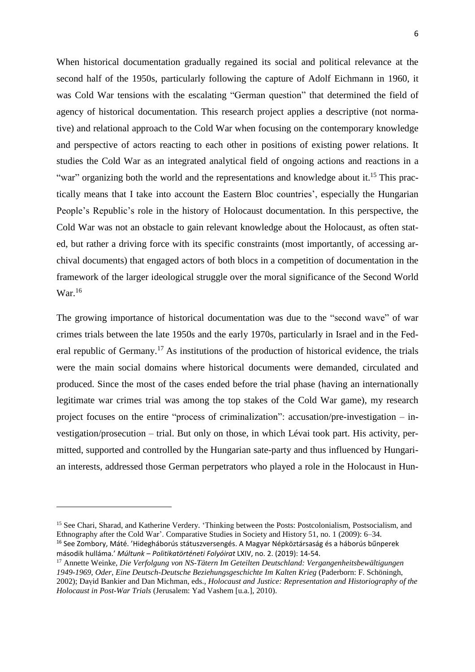When historical documentation gradually regained its social and political relevance at the second half of the 1950s, particularly following the capture of Adolf Eichmann in 1960, it was Cold War tensions with the escalating "German question" that determined the field of agency of historical documentation. This research project applies a descriptive (not normative) and relational approach to the Cold War when focusing on the contemporary knowledge and perspective of actors reacting to each other in positions of existing power relations. It studies the Cold War as an integrated analytical field of ongoing actions and reactions in a "war" organizing both the world and the representations and knowledge about it.<sup>15</sup> This practically means that I take into account the Eastern Bloc countries', especially the Hungarian People's Republic's role in the history of Holocaust documentation. In this perspective, the Cold War was not an obstacle to gain relevant knowledge about the Holocaust, as often stated, but rather a driving force with its specific constraints (most importantly, of accessing archival documents) that engaged actors of both blocs in a competition of documentation in the framework of the larger ideological struggle over the moral significance of the Second World War. 16

The growing importance of historical documentation was due to the "second wave" of war crimes trials between the late 1950s and the early 1970s, particularly in Israel and in the Federal republic of Germany.<sup>17</sup> As institutions of the production of historical evidence, the trials were the main social domains where historical documents were demanded, circulated and produced. Since the most of the cases ended before the trial phase (having an internationally legitimate war crimes trial was among the top stakes of the Cold War game), my research project focuses on the entire "process of criminalization": accusation/pre-investigation – investigation/prosecution – trial. But only on those, in which Lévai took part. His activity, permitted, supported and controlled by the Hungarian sate-party and thus influenced by Hungarian interests, addressed those German perpetrators who played a role in the Holocaust in Hun-

 $\ddot{\phantom{a}}$ 

<sup>&</sup>lt;sup>15</sup> See Chari, Sharad, and Katherine Verdery. 'Thinking between the Posts: Postcolonialism, Postsocialism, and Ethnography after the Cold War'. Comparative Studies in Society and History 51, no. 1 (2009): 6–34. <sup>16</sup> See Zombory, Máté. 'Hidegháborús státuszversengés. A Magyar Népköztársaság és a háborús bűnperek második hulláma.' *Múltunk – Politikatörténeti Folyóirat* LXIV, no. 2. (2019): 14-54.

<sup>17</sup> Annette Weinke, *Die Verfolgung von NS-Tätern Im Geteilten Deutschland: Vergangenheitsbewältigungen 1949-1969, Oder, Eine Deutsch-Deutsche Beziehungsgeschichte Im Kalten Krieg* (Paderborn: F. Schöningh, 2002); Daṿid Bankier and Dan Michman, eds., *Holocaust and Justice: Representation and Historiography of the Holocaust in Post-War Trials* (Jerusalem: Yad Vashem [u.a.], 2010).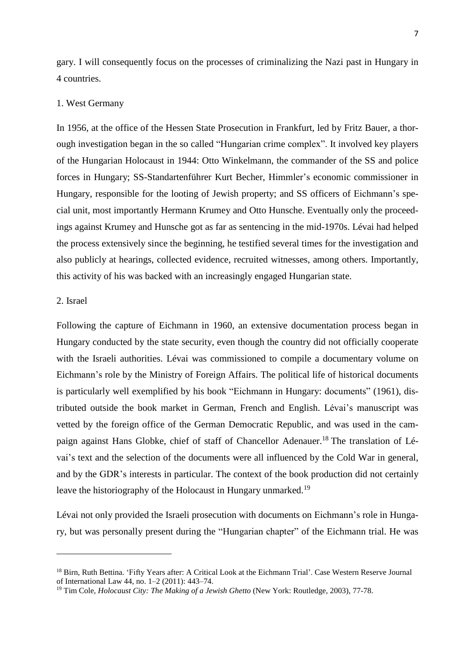gary. I will consequently focus on the processes of criminalizing the Nazi past in Hungary in 4 countries.

### 1. West Germany

In 1956, at the office of the Hessen State Prosecution in Frankfurt, led by Fritz Bauer, a thorough investigation began in the so called "Hungarian crime complex". It involved key players of the Hungarian Holocaust in 1944: Otto Winkelmann, the commander of the SS and police forces in Hungary; SS-Standartenführer Kurt Becher, Himmler's economic commissioner in Hungary, responsible for the looting of Jewish property; and SS officers of Eichmann's special unit, most importantly Hermann Krumey and Otto Hunsche. Eventually only the proceedings against Krumey and Hunsche got as far as sentencing in the mid-1970s. Lévai had helped the process extensively since the beginning, he testified several times for the investigation and also publicly at hearings, collected evidence, recruited witnesses, among others. Importantly, this activity of his was backed with an increasingly engaged Hungarian state.

# 2. Israel

 $\ddot{\phantom{a}}$ 

Following the capture of Eichmann in 1960, an extensive documentation process began in Hungary conducted by the state security, even though the country did not officially cooperate with the Israeli authorities. Lévai was commissioned to compile a documentary volume on Eichmann's role by the Ministry of Foreign Affairs. The political life of historical documents is particularly well exemplified by his book "Eichmann in Hungary: documents" (1961), distributed outside the book market in German, French and English. Lévai's manuscript was vetted by the foreign office of the German Democratic Republic, and was used in the campaign against Hans Globke, chief of staff of Chancellor Adenauer.<sup>18</sup> The translation of Lévai's text and the selection of the documents were all influenced by the Cold War in general, and by the GDR's interests in particular. The context of the book production did not certainly leave the historiography of the Holocaust in Hungary unmarked.<sup>19</sup>

Lévai not only provided the Israeli prosecution with documents on Eichmann's role in Hungary, but was personally present during the "Hungarian chapter" of the Eichmann trial. He was

<sup>&</sup>lt;sup>18</sup> Birn, Ruth Bettina. 'Fifty Years after: A Critical Look at the Eichmann Trial'. Case Western Reserve Journal of International Law 44, no. 1–2 (2011): 443–74.

<sup>19</sup> Tim Cole, *Holocaust City: The Making of a Jewish Ghetto* (New York: Routledge, 2003), 77-78.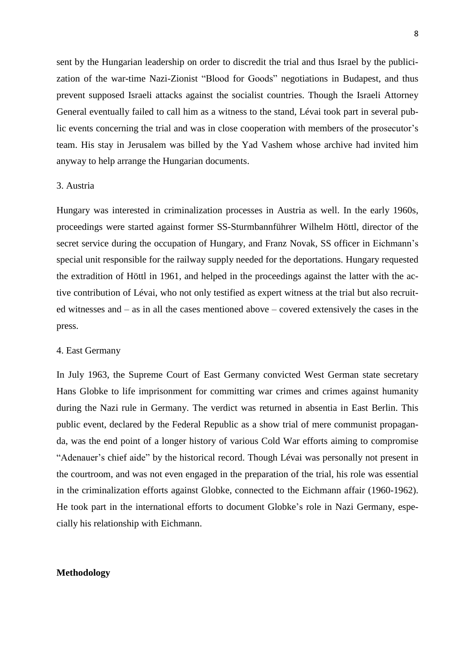sent by the Hungarian leadership on order to discredit the trial and thus Israel by the publicization of the war-time Nazi-Zionist "Blood for Goods" negotiations in Budapest, and thus prevent supposed Israeli attacks against the socialist countries. Though the Israeli Attorney General eventually failed to call him as a witness to the stand, Lévai took part in several public events concerning the trial and was in close cooperation with members of the prosecutor's team. His stay in Jerusalem was billed by the Yad Vashem whose archive had invited him anyway to help arrange the Hungarian documents.

### 3. Austria

Hungary was interested in criminalization processes in Austria as well. In the early 1960s, proceedings were started against former SS-Sturmbannführer Wilhelm Höttl, director of the secret service during the occupation of Hungary, and Franz Novak, SS officer in Eichmann's special unit responsible for the railway supply needed for the deportations. Hungary requested the extradition of Höttl in 1961, and helped in the proceedings against the latter with the active contribution of Lévai, who not only testified as expert witness at the trial but also recruited witnesses and – as in all the cases mentioned above – covered extensively the cases in the press.

#### 4. East Germany

In July 1963, the Supreme Court of East Germany convicted West German state secretary Hans Globke to life imprisonment for committing war crimes and crimes against humanity during the Nazi rule in Germany. The verdict was returned in absentia in East Berlin. This public event, declared by the Federal Republic as a show trial of mere communist propaganda, was the end point of a longer history of various Cold War efforts aiming to compromise "Adenauer's chief aide" by the historical record. Though Lévai was personally not present in the courtroom, and was not even engaged in the preparation of the trial, his role was essential in the criminalization efforts against Globke, connected to the Eichmann affair (1960-1962). He took part in the international efforts to document Globke's role in Nazi Germany, especially his relationship with Eichmann.

## **Methodology**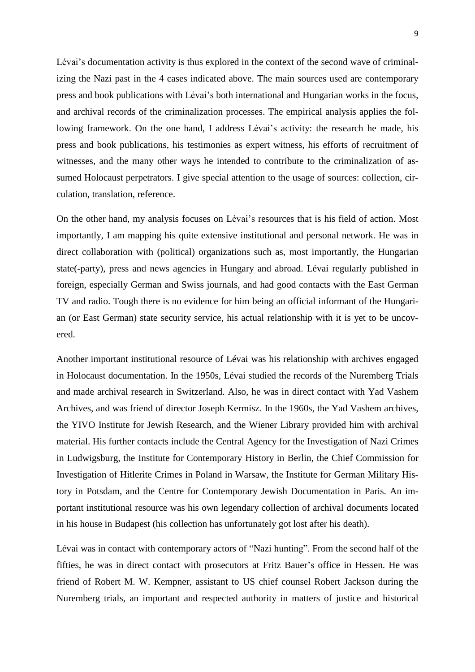Lévai's documentation activity is thus explored in the context of the second wave of criminalizing the Nazi past in the 4 cases indicated above. The main sources used are contemporary press and book publications with Lévai's both international and Hungarian works in the focus, and archival records of the criminalization processes. The empirical analysis applies the following framework. On the one hand, I address Lévai's activity: the research he made, his press and book publications, his testimonies as expert witness, his efforts of recruitment of witnesses, and the many other ways he intended to contribute to the criminalization of assumed Holocaust perpetrators. I give special attention to the usage of sources: collection, circulation, translation, reference.

On the other hand, my analysis focuses on Lévai's resources that is his field of action. Most importantly, I am mapping his quite extensive institutional and personal network. He was in direct collaboration with (political) organizations such as, most importantly, the Hungarian state(-party), press and news agencies in Hungary and abroad. Lévai regularly published in foreign, especially German and Swiss journals, and had good contacts with the East German TV and radio. Tough there is no evidence for him being an official informant of the Hungarian (or East German) state security service, his actual relationship with it is yet to be uncovered.

Another important institutional resource of Lévai was his relationship with archives engaged in Holocaust documentation. In the 1950s, Lévai studied the records of the Nuremberg Trials and made archival research in Switzerland. Also, he was in direct contact with Yad Vashem Archives, and was friend of director Joseph Kermisz. In the 1960s, the Yad Vashem archives, the YIVO Institute for Jewish Research, and the Wiener Library provided him with archival material. His further contacts include the Central Agency for the Investigation of Nazi Crimes in Ludwigsburg, the Institute for Contemporary History in Berlin, the Chief Commission for Investigation of Hitlerite Crimes in Poland in Warsaw, the Institute for German Military History in Potsdam, and the Centre for Contemporary Jewish Documentation in Paris. An important institutional resource was his own legendary collection of archival documents located in his house in Budapest (his collection has unfortunately got lost after his death).

Lévai was in contact with contemporary actors of "Nazi hunting". From the second half of the fifties, he was in direct contact with prosecutors at Fritz Bauer's office in Hessen. He was friend of Robert M. W. Kempner, assistant to US chief counsel Robert Jackson during the Nuremberg trials, an important and respected authority in matters of justice and historical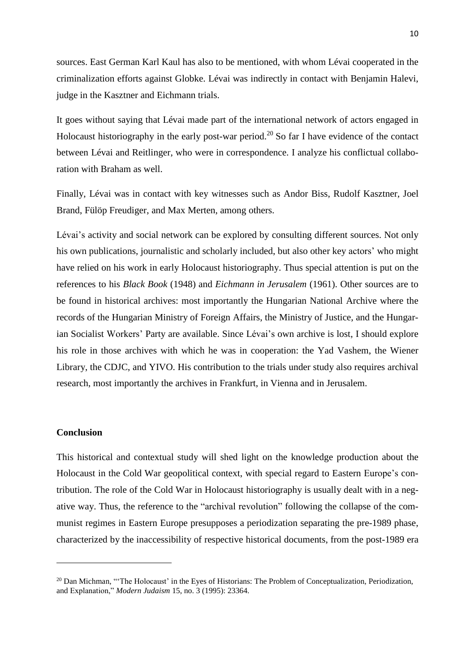sources. East German Karl Kaul has also to be mentioned, with whom Lévai cooperated in the criminalization efforts against Globke. Lévai was indirectly in contact with Benjamin Halevi, judge in the Kasztner and Eichmann trials.

It goes without saying that Lévai made part of the international network of actors engaged in Holocaust historiography in the early post-war period.<sup>20</sup> So far I have evidence of the contact between Lévai and Reitlinger, who were in correspondence. I analyze his conflictual collaboration with Braham as well.

Finally, Lévai was in contact with key witnesses such as Andor Biss, Rudolf Kasztner, Joel Brand, Fülöp Freudiger, and Max Merten, among others.

Lévai's activity and social network can be explored by consulting different sources. Not only his own publications, journalistic and scholarly included, but also other key actors' who might have relied on his work in early Holocaust historiography. Thus special attention is put on the references to his *Black Book* (1948) and *Eichmann in Jerusalem* (1961). Other sources are to be found in historical archives: most importantly the Hungarian National Archive where the records of the Hungarian Ministry of Foreign Affairs, the Ministry of Justice, and the Hungarian Socialist Workers' Party are available. Since Lévai's own archive is lost, I should explore his role in those archives with which he was in cooperation: the Yad Vashem, the Wiener Library, the CDJC, and YIVO. His contribution to the trials under study also requires archival research, most importantly the archives in Frankfurt, in Vienna and in Jerusalem.

### **Conclusion**

 $\overline{a}$ 

This historical and contextual study will shed light on the knowledge production about the Holocaust in the Cold War geopolitical context, with special regard to Eastern Europe's contribution. The role of the Cold War in Holocaust historiography is usually dealt with in a negative way. Thus, the reference to the "archival revolution" following the collapse of the communist regimes in Eastern Europe presupposes a periodization separating the pre-1989 phase, characterized by the inaccessibility of respective historical documents, from the post-1989 era

<sup>&</sup>lt;sup>20</sup> Dan Michman, "The Holocaust' in the Eyes of Historians: The Problem of Conceptualization, Periodization, and Explanation," *Modern Judaism* 15, no. 3 (1995): 23364.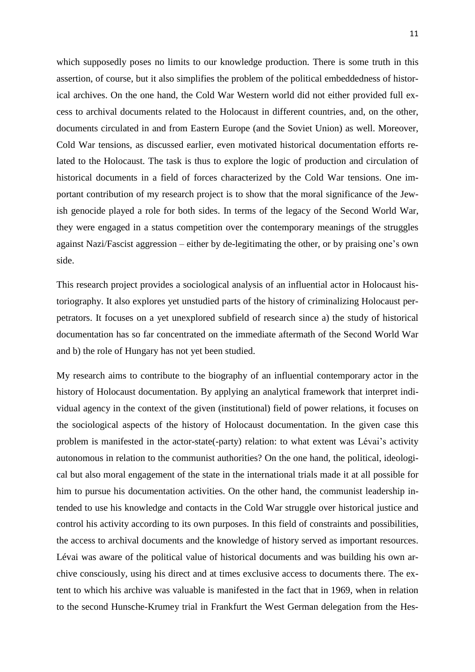which supposedly poses no limits to our knowledge production. There is some truth in this assertion, of course, but it also simplifies the problem of the political embeddedness of historical archives. On the one hand, the Cold War Western world did not either provided full excess to archival documents related to the Holocaust in different countries, and, on the other, documents circulated in and from Eastern Europe (and the Soviet Union) as well. Moreover, Cold War tensions, as discussed earlier, even motivated historical documentation efforts related to the Holocaust. The task is thus to explore the logic of production and circulation of historical documents in a field of forces characterized by the Cold War tensions. One important contribution of my research project is to show that the moral significance of the Jewish genocide played a role for both sides. In terms of the legacy of the Second World War, they were engaged in a status competition over the contemporary meanings of the struggles against Nazi/Fascist aggression – either by de-legitimating the other, or by praising one's own side.

This research project provides a sociological analysis of an influential actor in Holocaust historiography. It also explores yet unstudied parts of the history of criminalizing Holocaust perpetrators. It focuses on a yet unexplored subfield of research since a) the study of historical documentation has so far concentrated on the immediate aftermath of the Second World War and b) the role of Hungary has not yet been studied.

My research aims to contribute to the biography of an influential contemporary actor in the history of Holocaust documentation. By applying an analytical framework that interpret individual agency in the context of the given (institutional) field of power relations, it focuses on the sociological aspects of the history of Holocaust documentation. In the given case this problem is manifested in the actor-state(-party) relation: to what extent was Lévai's activity autonomous in relation to the communist authorities? On the one hand, the political, ideological but also moral engagement of the state in the international trials made it at all possible for him to pursue his documentation activities. On the other hand, the communist leadership intended to use his knowledge and contacts in the Cold War struggle over historical justice and control his activity according to its own purposes. In this field of constraints and possibilities, the access to archival documents and the knowledge of history served as important resources. Lévai was aware of the political value of historical documents and was building his own archive consciously, using his direct and at times exclusive access to documents there. The extent to which his archive was valuable is manifested in the fact that in 1969, when in relation to the second Hunsche-Krumey trial in Frankfurt the West German delegation from the Hes